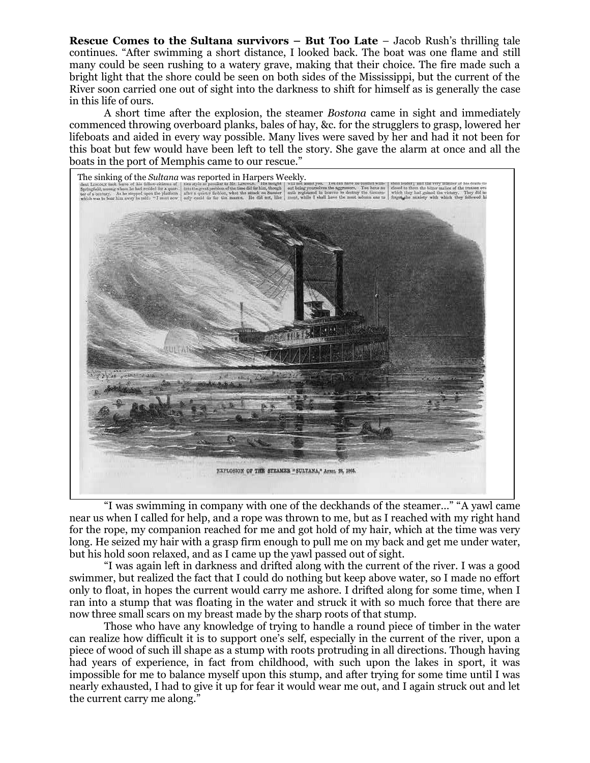**Rescue Comes to the Sultana survivors – But Too Late** – Jacob Rush's thrilling tale continues. "After swimming a short distance, I looked back. The boat was one flame and still many could be seen rushing to a watery grave, making that their choice. The fire made such a bright light that the shore could be seen on both sides of the Mississippi, but the current of the River soon carried one out of sight into the darkness to shift for himself as is generally the case in this life of ours.

A short time after the explosion, the steamer *Bostona* came in sight and immediately commenced throwing overboard planks, bales of hay, &c. for the strugglers to grasp, lowered her lifeboats and aided in every way possible. Many lives were saved by her and had it not been for this boat but few would have been left to tell the story. She gave the alarm at once and all the boats in the port of Memphis came to our rescue."



"I was swimming in company with one of the deckhands of the steamer…" "A yawl came near us when I called for help, and a rope was thrown to me, but as I reached with my right hand for the rope, my companion reached for me and got hold of my hair, which at the time was very long. He seized my hair with a grasp firm enough to pull me on my back and get me under water, but his hold soon relaxed, and as I came up the yawl passed out of sight.

"I was again left in darkness and drifted along with the current of the river. I was a good swimmer, but realized the fact that I could do nothing but keep above water, so I made no effort only to float, in hopes the current would carry me ashore. I drifted along for some time, when I ran into a stump that was floating in the water and struck it with so much force that there are now three small scars on my breast made by the sharp roots of that stump.

Those who have any knowledge of trying to handle a round piece of timber in the water can realize how difficult it is to support one's self, especially in the current of the river, upon a piece of wood of such ill shape as a stump with roots protruding in all directions. Though having had years of experience, in fact from childhood, with such upon the lakes in sport, it was impossible for me to balance myself upon this stump, and after trying for some time until I was nearly exhausted, I had to give it up for fear it would wear me out, and I again struck out and let the current carry me along."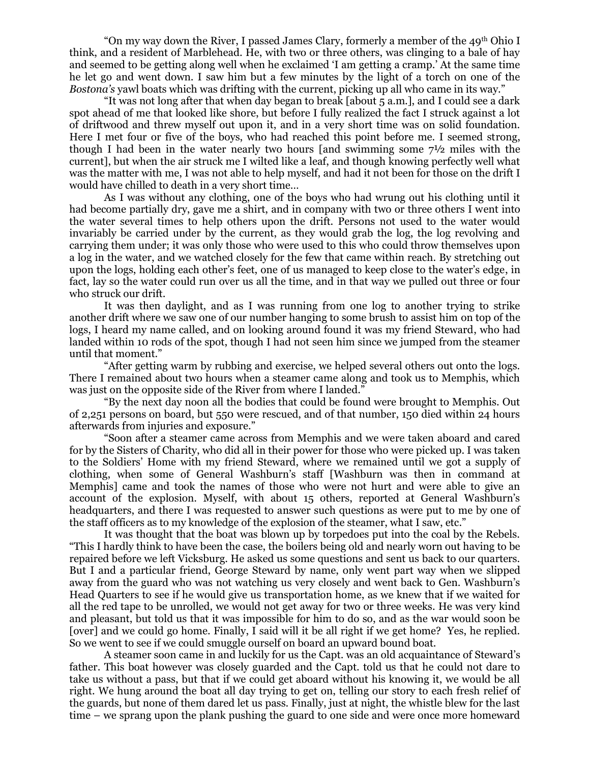"On my way down the River, I passed James Clary, formerly a member of the  $49<sup>th</sup>$  Ohio I think, and a resident of Marblehead. He, with two or three others, was clinging to a bale of hay and seemed to be getting along well when he exclaimed 'I am getting a cramp.' At the same time he let go and went down. I saw him but a few minutes by the light of a torch on one of the *Bostona's* yawl boats which was drifting with the current, picking up all who came in its way."

"It was not long after that when day began to break [about 5 a.m.], and I could see a dark spot ahead of me that looked like shore, but before I fully realized the fact I struck against a lot of driftwood and threw myself out upon it, and in a very short time was on solid foundation. Here I met four or five of the boys, who had reached this point before me. I seemed strong, though I had been in the water nearly two hours [and swimming some  $7\frac{1}{2}$  miles with the current], but when the air struck me I wilted like a leaf, and though knowing perfectly well what was the matter with me, I was not able to help myself, and had it not been for those on the drift I would have chilled to death in a very short time…

As I was without any clothing, one of the boys who had wrung out his clothing until it had become partially dry, gave me a shirt, and in company with two or three others I went into the water several times to help others upon the drift. Persons not used to the water would invariably be carried under by the current, as they would grab the log, the log revolving and carrying them under; it was only those who were used to this who could throw themselves upon a log in the water, and we watched closely for the few that came within reach. By stretching out upon the logs, holding each other's feet, one of us managed to keep close to the water's edge, in fact, lay so the water could run over us all the time, and in that way we pulled out three or four who struck our drift.

It was then daylight, and as I was running from one log to another trying to strike another drift where we saw one of our number hanging to some brush to assist him on top of the logs, I heard my name called, and on looking around found it was my friend Steward, who had landed within 10 rods of the spot, though I had not seen him since we jumped from the steamer until that moment."

"After getting warm by rubbing and exercise, we helped several others out onto the logs. There I remained about two hours when a steamer came along and took us to Memphis, which was just on the opposite side of the River from where I landed."

"By the next day noon all the bodies that could be found were brought to Memphis. Out of 2,251 persons on board, but 550 were rescued, and of that number, 150 died within 24 hours afterwards from injuries and exposure."

"Soon after a steamer came across from Memphis and we were taken aboard and cared for by the Sisters of Charity, who did all in their power for those who were picked up. I was taken to the Soldiers' Home with my friend Steward, where we remained until we got a supply of clothing, when some of General Washburn's staff [Washburn was then in command at Memphis] came and took the names of those who were not hurt and were able to give an account of the explosion. Myself, with about 15 others, reported at General Washburn's headquarters, and there I was requested to answer such questions as were put to me by one of the staff officers as to my knowledge of the explosion of the steamer, what I saw, etc."

It was thought that the boat was blown up by torpedoes put into the coal by the Rebels. "This I hardly think to have been the case, the boilers being old and nearly worn out having to be repaired before we left Vicksburg. He asked us some questions and sent us back to our quarters. But I and a particular friend, George Steward by name, only went part way when we slipped away from the guard who was not watching us very closely and went back to Gen. Washburn's Head Quarters to see if he would give us transportation home, as we knew that if we waited for all the red tape to be unrolled, we would not get away for two or three weeks. He was very kind and pleasant, but told us that it was impossible for him to do so, and as the war would soon be [over] and we could go home. Finally, I said will it be all right if we get home? Yes, he replied. So we went to see if we could smuggle ourself on board an upward bound boat.

A steamer soon came in and luckily for us the Capt. was an old acquaintance of Steward's father. This boat however was closely guarded and the Capt. told us that he could not dare to take us without a pass, but that if we could get aboard without his knowing it, we would be all right. We hung around the boat all day trying to get on, telling our story to each fresh relief of the guards, but none of them dared let us pass. Finally, just at night, the whistle blew for the last time – we sprang upon the plank pushing the guard to one side and were once more homeward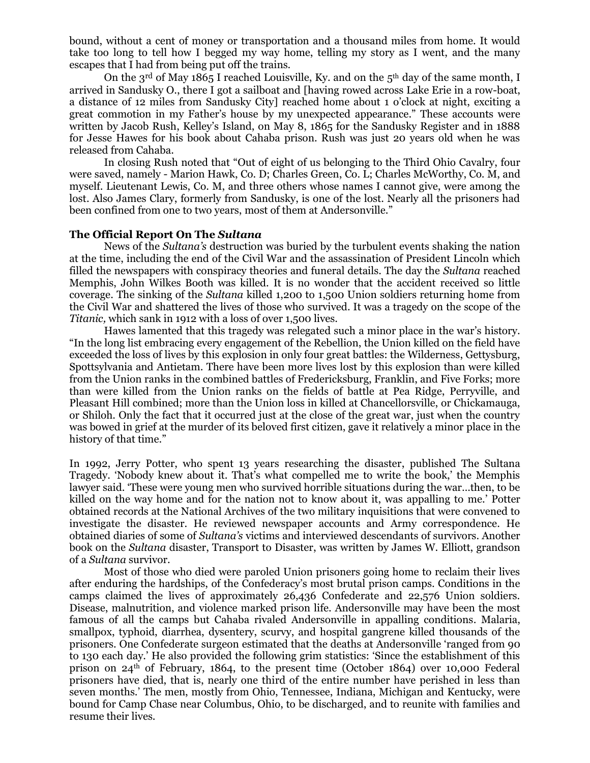bound, without a cent of money or transportation and a thousand miles from home. It would take too long to tell how I begged my way home, telling my story as I went, and the many escapes that I had from being put off the trains.

On the  $3<sup>rd</sup>$  of May 1865 I reached Louisville, Ky. and on the  $5<sup>th</sup>$  day of the same month, I arrived in Sandusky O., there I got a sailboat and [having rowed across Lake Erie in a row-boat, a distance of 12 miles from Sandusky City] reached home about 1 o'clock at night, exciting a great commotion in my Father's house by my unexpected appearance." These accounts were written by Jacob Rush, Kelley's Island, on May 8, 1865 for the Sandusky Register and in 1888 for Jesse Hawes for his book about Cahaba prison. Rush was just 20 years old when he was released from Cahaba.

In closing Rush noted that "Out of eight of us belonging to the Third Ohio Cavalry, four were saved, namely - Marion Hawk, Co. D; Charles Green, Co. L; Charles McWorthy, Co. M, and myself. Lieutenant Lewis, Co. M, and three others whose names I cannot give, were among the lost. Also James Clary, formerly from Sandusky, is one of the lost. Nearly all the prisoners had been confined from one to two years, most of them at Andersonville."

## **The Official Report On The** *Sultana*

News of the *Sultana's* destruction was buried by the turbulent events shaking the nation at the time, including the end of the Civil War and the assassination of President Lincoln which filled the newspapers with conspiracy theories and funeral details. The day the *Sultana* reached Memphis, John Wilkes Booth was killed. It is no wonder that the accident received so little coverage. The sinking of the *Sultana* killed 1,200 to 1,500 Union soldiers returning home from the Civil War and shattered the lives of those who survived. It was a tragedy on the scope of the *Titanic,* which sank in 1912 with a loss of over 1,500 lives.

Hawes lamented that this tragedy was relegated such a minor place in the war's history. "In the long list embracing every engagement of the Rebellion, the Union killed on the field have exceeded the loss of lives by this explosion in only four great battles: the Wilderness, Gettysburg, Spottsylvania and Antietam. There have been more lives lost by this explosion than were killed from the Union ranks in the combined battles of Fredericksburg, Franklin, and Five Forks; more than were killed from the Union ranks on the fields of battle at Pea Ridge, Perryville, and Pleasant Hill combined; more than the Union loss in killed at Chancellorsville, or Chickamauga, or Shiloh. Only the fact that it occurred just at the close of the great war, just when the country was bowed in grief at the murder of its beloved first citizen, gave it relatively a minor place in the history of that time."

In 1992, Jerry Potter, who spent 13 years researching the disaster, published The Sultana Tragedy. 'Nobody knew about it. That's what compelled me to write the book,' the Memphis lawyer said. 'These were young men who survived horrible situations during the war…then, to be killed on the way home and for the nation not to know about it, was appalling to me.' Potter obtained records at the National Archives of the two military inquisitions that were convened to investigate the disaster. He reviewed newspaper accounts and Army correspondence. He obtained diaries of some of *Sultana's* victims and interviewed descendants of survivors. Another book on the *Sultana* disaster, Transport to Disaster, was written by James W. Elliott, grandson of a *Sultana* survivor.

Most of those who died were paroled Union prisoners going home to reclaim their lives after enduring the hardships, of the Confederacy's most brutal prison camps. Conditions in the camps claimed the lives of approximately 26,436 Confederate and 22,576 Union soldiers. Disease, malnutrition, and violence marked prison life. Andersonville may have been the most famous of all the camps but Cahaba rivaled Andersonville in appalling conditions. Malaria, smallpox, typhoid, diarrhea, dysentery, scurvy, and hospital gangrene killed thousands of the prisoners. One Confederate surgeon estimated that the deaths at Andersonville 'ranged from 90 to 130 each day.' He also provided the following grim statistics: 'Since the establishment of this prison on 24th of February, 1864, to the present time (October 1864) over 10,000 Federal prisoners have died, that is, nearly one third of the entire number have perished in less than seven months.' The men, mostly from Ohio, Tennessee, Indiana, Michigan and Kentucky, were bound for Camp Chase near Columbus, Ohio, to be discharged, and to reunite with families and resume their lives.